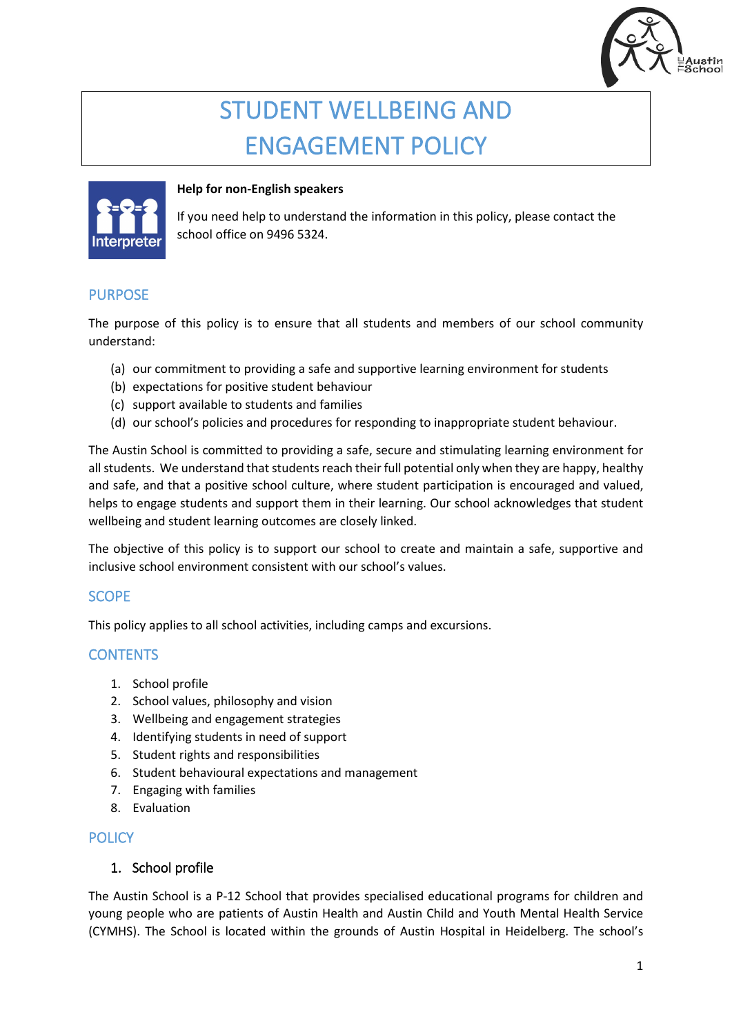

# STUDENT WELLBEING AND ENGAGEMENT POLICY



#### **Help for non-English speakers**

If you need help to understand the information in this policy, please contact the school office on 9496 5324.

# PURPOSE

The purpose of this policy is to ensure that all students and members of our school community understand:

- (a) our commitment to providing a safe and supportive learning environment for students
- (b) expectations for positive student behaviour
- (c) support available to students and families
- (d) our school's policies and procedures for responding to inappropriate student behaviour.

The Austin School is committed to providing a safe, secure and stimulating learning environment for all students. We understand that students reach their full potential only when they are happy, healthy and safe, and that a positive school culture, where student participation is encouraged and valued, helps to engage students and support them in their learning. Our school acknowledges that student wellbeing and student learning outcomes are closely linked.

The objective of this policy is to support our school to create and maintain a safe, supportive and inclusive school environment consistent with our school's values.

## SCOPE

This policy applies to all school activities, including camps and excursions.

## **CONTENTS**

- 1. School profile
- 2. School values, philosophy and vision
- 3. Wellbeing and engagement strategies
- 4. Identifying students in need of support
- 5. Student rights and responsibilities
- 6. Student behavioural expectations and management
- 7. Engaging with families
- 8. Evaluation

## **POLICY**

### 1. School profile

The Austin School is a P-12 School that provides specialised educational programs for children and young people who are patients of Austin Health and Austin Child and Youth Mental Health Service (CYMHS). The School is located within the grounds of Austin Hospital in Heidelberg. The school's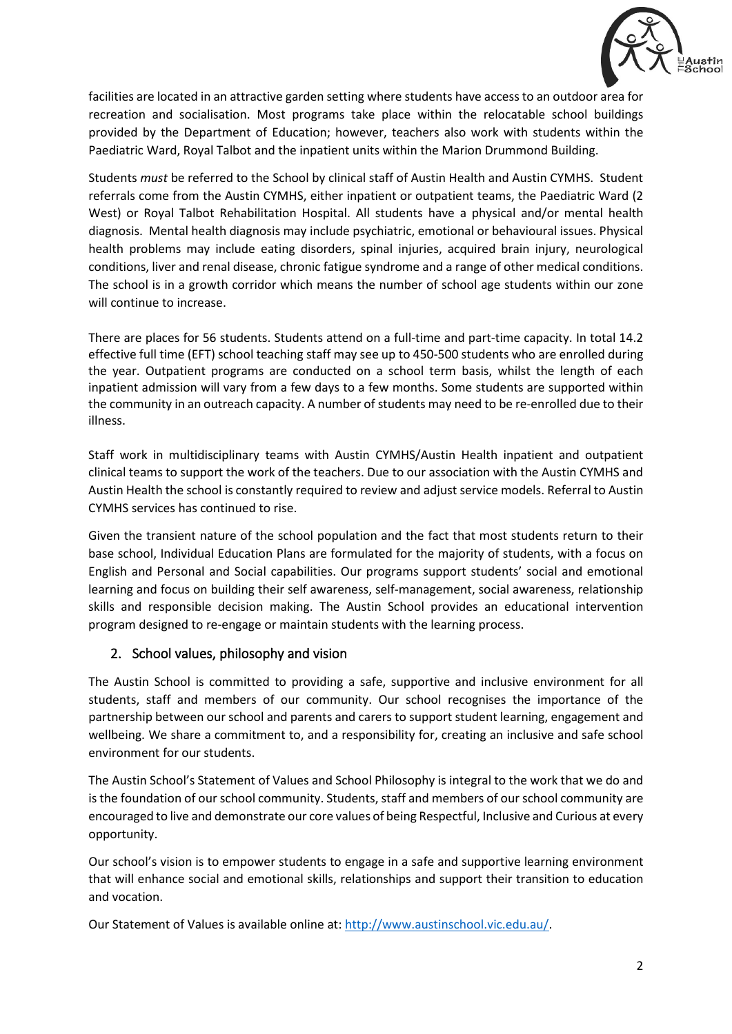

facilities are located in an attractive garden setting where students have access to an outdoor area for recreation and socialisation. Most programs take place within the relocatable school buildings provided by the Department of Education; however, teachers also work with students within the Paediatric Ward, Royal Talbot and the inpatient units within the Marion Drummond Building.

Students *must* be referred to the School by clinical staff of Austin Health and Austin CYMHS. Student referrals come from the Austin CYMHS, either inpatient or outpatient teams, the Paediatric Ward (2 West) or Royal Talbot Rehabilitation Hospital. All students have a physical and/or mental health diagnosis. Mental health diagnosis may include psychiatric, emotional or behavioural issues. Physical health problems may include eating disorders, spinal injuries, acquired brain injury, neurological conditions, liver and renal disease, chronic fatigue syndrome and a range of other medical conditions. The school is in a growth corridor which means the number of school age students within our zone will continue to increase.

There are places for 56 students. Students attend on a full-time and part-time capacity. In total 14.2 effective full time (EFT) school teaching staff may see up to 450-500 students who are enrolled during the year. Outpatient programs are conducted on a school term basis, whilst the length of each inpatient admission will vary from a few days to a few months. Some students are supported within the community in an outreach capacity. A number of students may need to be re-enrolled due to their illness.

Staff work in multidisciplinary teams with Austin CYMHS/Austin Health inpatient and outpatient clinical teams to support the work of the teachers. Due to our association with the Austin CYMHS and Austin Health the school is constantly required to review and adjust service models. Referral to Austin CYMHS services has continued to rise.

Given the transient nature of the school population and the fact that most students return to their base school, Individual Education Plans are formulated for the majority of students, with a focus on English and Personal and Social capabilities. Our programs support students' social and emotional learning and focus on building their self awareness, self-management, social awareness, relationship skills and responsible decision making. The Austin School provides an educational intervention program designed to re-engage or maintain students with the learning process.

## 2. School values, philosophy and vision

The Austin School is committed to providing a safe, supportive and inclusive environment for all students, staff and members of our community. Our school recognises the importance of the partnership between our school and parents and carers to support student learning, engagement and wellbeing. We share a commitment to, and a responsibility for, creating an inclusive and safe school environment for our students.

The Austin School's Statement of Values and School Philosophy is integral to the work that we do and is the foundation of our school community. Students, staff and members of our school community are encouraged to live and demonstrate our core values of being Respectful, Inclusive and Curious at every opportunity.

Our school's vision is to empower students to engage in a safe and supportive learning environment that will enhance social and emotional skills, relationships and support their transition to education and vocation.

Our Statement of Values is available online at[: http://www.austinschool.vic.edu.au/.](http://www.austinschool.vic.edu.au/)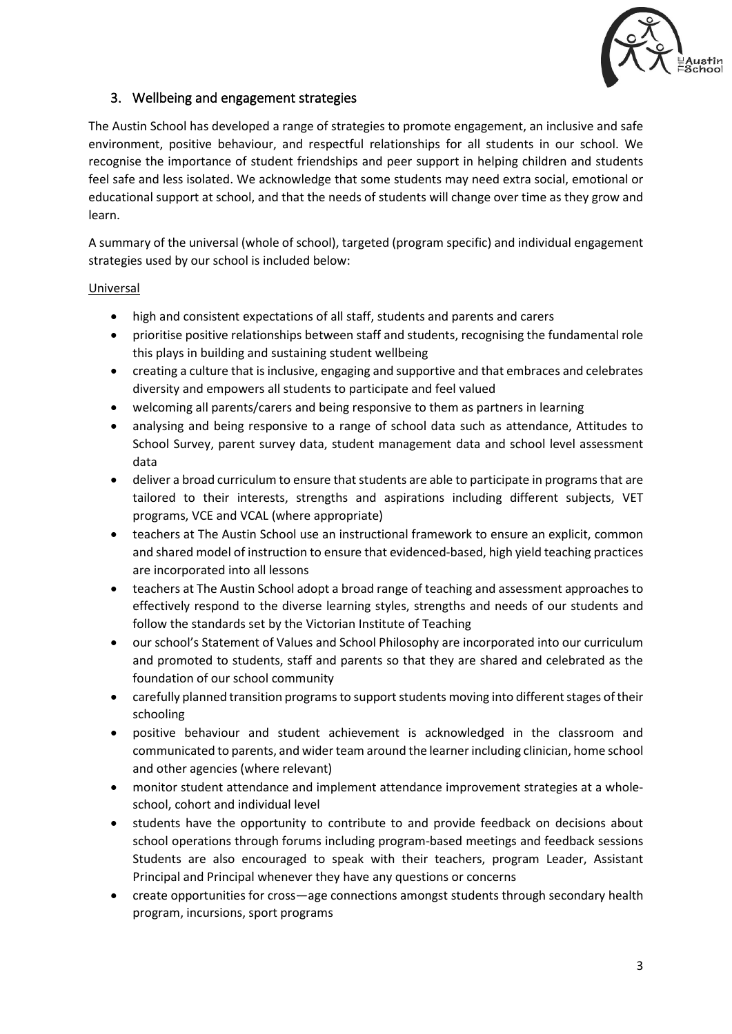

# 3. Wellbeing and engagement strategies

The Austin School has developed a range of strategies to promote engagement, an inclusive and safe environment, positive behaviour, and respectful relationships for all students in our school. We recognise the importance of student friendships and peer support in helping children and students feel safe and less isolated. We acknowledge that some students may need extra social, emotional or educational support at school, and that the needs of students will change over time as they grow and learn.

A summary of the universal (whole of school), targeted (program specific) and individual engagement strategies used by our school is included below:

#### Universal

- high and consistent expectations of all staff, students and parents and carers
- prioritise positive relationships between staff and students, recognising the fundamental role this plays in building and sustaining student wellbeing
- creating a culture that is inclusive, engaging and supportive and that embraces and celebrates diversity and empowers all students to participate and feel valued
- welcoming all parents/carers and being responsive to them as partners in learning
- analysing and being responsive to a range of school data such as attendance, Attitudes to School Survey, parent survey data, student management data and school level assessment data
- deliver a broad curriculum to ensure that students are able to participate in programs that are tailored to their interests, strengths and aspirations including different subjects, VET programs, VCE and VCAL (where appropriate)
- teachers at The Austin School use an instructional framework to ensure an explicit, common and shared model of instruction to ensure that evidenced-based, high yield teaching practices are incorporated into all lessons
- teachers at The Austin School adopt a broad range of teaching and assessment approaches to effectively respond to the diverse learning styles, strengths and needs of our students and follow the standards set by the Victorian Institute of Teaching
- our school's Statement of Values and School Philosophy are incorporated into our curriculum and promoted to students, staff and parents so that they are shared and celebrated as the foundation of our school community
- carefully planned transition programs to support students moving into different stages of their schooling
- positive behaviour and student achievement is acknowledged in the classroom and communicated to parents, and wider team around the learner including clinician, home school and other agencies (where relevant)
- monitor student attendance and implement attendance improvement strategies at a wholeschool, cohort and individual level
- students have the opportunity to contribute to and provide feedback on decisions about school operations through forums including program-based meetings and feedback sessions Students are also encouraged to speak with their teachers, program Leader, Assistant Principal and Principal whenever they have any questions or concerns
- create opportunities for cross—age connections amongst students through secondary health program, incursions, sport programs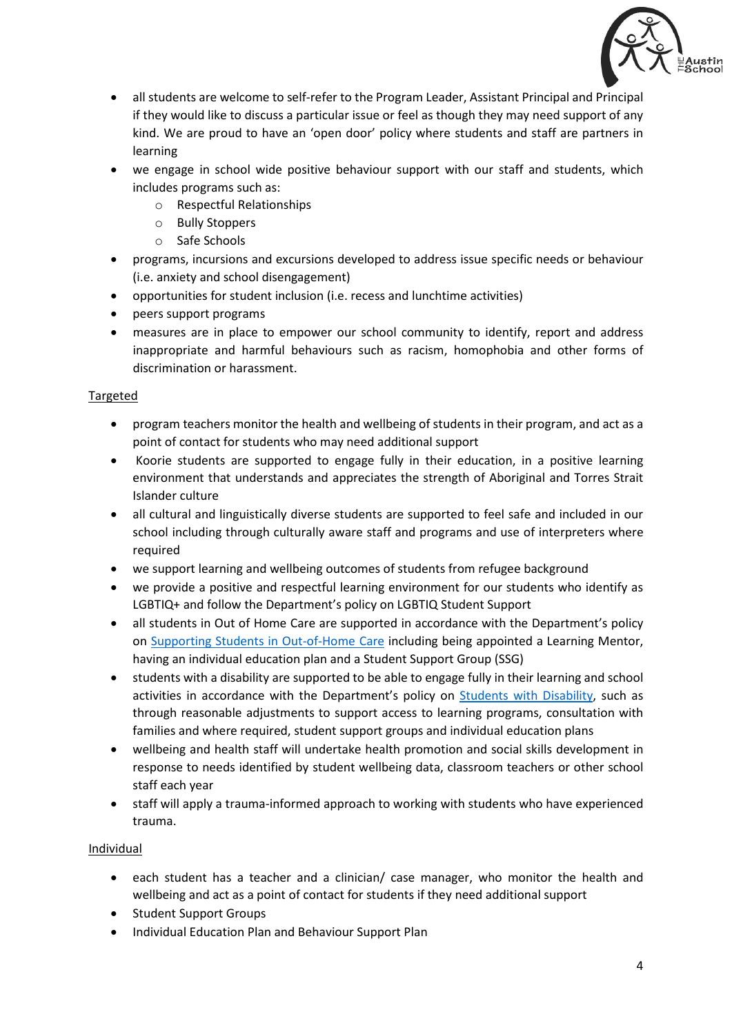

- all students are welcome to self-refer to the Program Leader, Assistant Principal and Principal if they would like to discuss a particular issue or feel as though they may need support of any kind. We are proud to have an 'open door' policy where students and staff are partners in learning
- we engage in school wide positive behaviour support with our staff and students, which includes programs such as:
	- o Respectful Relationships
	- o Bully Stoppers
	- o Safe Schools
- programs, incursions and excursions developed to address issue specific needs or behaviour (i.e. anxiety and school disengagement)
- opportunities for student inclusion (i.e. recess and lunchtime activities)
- peers support programs
- measures are in place to empower our school community to identify, report and address inappropriate and harmful behaviours such as racism, homophobia and other forms of discrimination or harassment.

#### **Targeted**

- program teachers monitor the health and wellbeing of students in their program, and act as a point of contact for students who may need additional support
- Koorie students are supported to engage fully in their education, in a positive learning environment that understands and appreciates the strength of Aboriginal and Torres Strait Islander culture
- all cultural and linguistically diverse students are supported to feel safe and included in our school including through culturally aware staff and programs and use of interpreters where required
- we support learning and wellbeing outcomes of students from refugee background
- we provide a positive and respectful learning environment for our students who identify as LGBTIQ+ and follow the Department's policy on LGBTIQ Student Support
- all students in Out of Home Care are supported in accordance with the Department's policy on [Supporting Students in Out-of-Home Care](https://www2.education.vic.gov.au/pal/supporting-students-out-home-care/policy) including being appointed a Learning Mentor, having an individual education plan and a Student Support Group (SSG)
- students with a disability are supported to be able to engage fully in their learning and school activities in accordance with the Department's policy on [Students with Disability,](https://www2.education.vic.gov.au/pal/students-disability/policy) such as through reasonable adjustments to support access to learning programs, consultation with families and where required, student support groups and individual education plans
- wellbeing and health staff will undertake health promotion and social skills development in response to needs identified by student wellbeing data, classroom teachers or other school staff each year
- staff will apply a trauma-informed approach to working with students who have experienced trauma.

#### Individual

- each student has a teacher and a clinician/ case manager, who monitor the health and wellbeing and act as a point of contact for students if they need additional support
- Student Support Groups
- Individual Education Plan and Behaviour Support Plan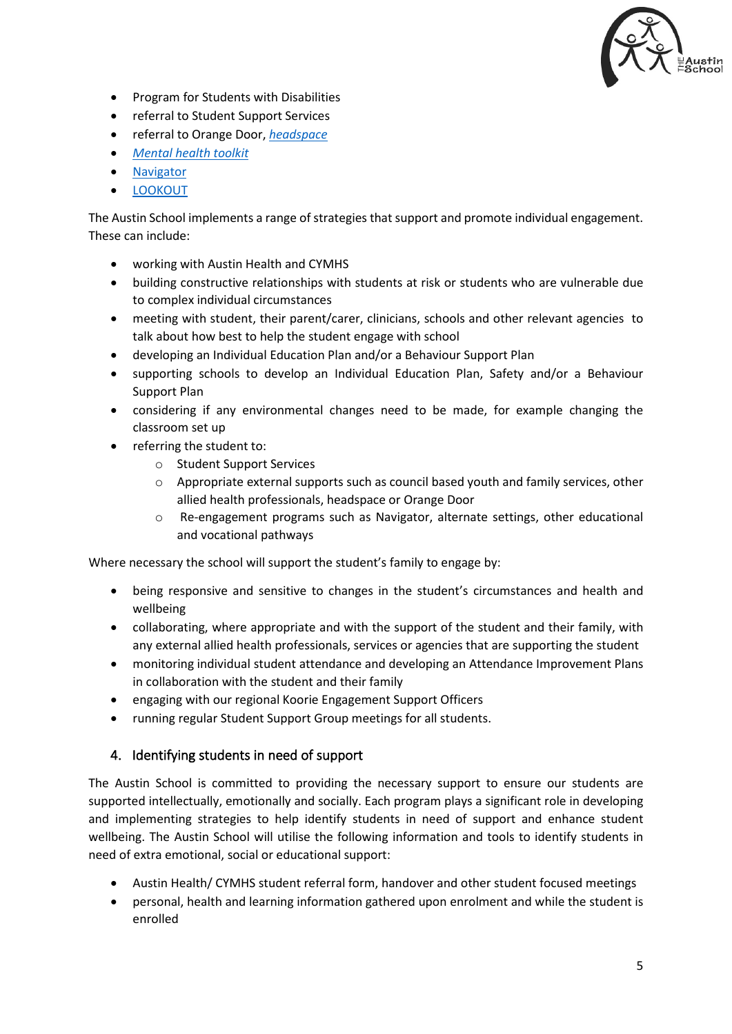

- Program for Students with Disabilities
- referral to Student Support Services
- referral to Orange Door, *[headspace](https://www.education.vic.gov.au/school/teachers/health/mentalhealth/Pages/headspace-counselling-secondary.aspx)*
- *[Mental health toolkit](https://www.education.vic.gov.au/school/teachers/health/mentalhealth/Pages/mentalhealthtoolkit.aspx)*
- [Navigator](https://www.education.vic.gov.au/school/teachers/behaviour/engagement/Pages/navigator.aspx)
- **[LOOKOUT](https://www.education.vic.gov.au/about/programs/Pages/lookout.aspx)**

The Austin School implements a range of strategies that support and promote individual engagement. These can include:

- working with Austin Health and CYMHS
- building constructive relationships with students at risk or students who are vulnerable due to complex individual circumstances
- meeting with student, their parent/carer, clinicians, schools and other relevant agencies to talk about how best to help the student engage with school
- developing an Individual Education Plan and/or a Behaviour Support Plan
- supporting schools to develop an Individual Education Plan, Safety and/or a Behaviour Support Plan
- considering if any environmental changes need to be made, for example changing the classroom set up
- referring the student to:
	- o Student Support Services
	- $\circ$  Appropriate external supports such as council based youth and family services, other allied health professionals, headspace or Orange Door
	- o Re-engagement programs such as Navigator, alternate settings, other educational and vocational pathways

Where necessary the school will support the student's family to engage by:

- being responsive and sensitive to changes in the student's circumstances and health and wellbeing
- collaborating, where appropriate and with the support of the student and their family, with any external allied health professionals, services or agencies that are supporting the student
- monitoring individual student attendance and developing an Attendance Improvement Plans in collaboration with the student and their family
- engaging with our regional Koorie Engagement Support Officers
- running regular Student Support Group meetings for all students.

#### 4. Identifying students in need of support

The Austin School is committed to providing the necessary support to ensure our students are supported intellectually, emotionally and socially. Each program plays a significant role in developing and implementing strategies to help identify students in need of support and enhance student wellbeing. The Austin School will utilise the following information and tools to identify students in need of extra emotional, social or educational support:

- Austin Health/ CYMHS student referral form, handover and other student focused meetings
- personal, health and learning information gathered upon enrolment and while the student is enrolled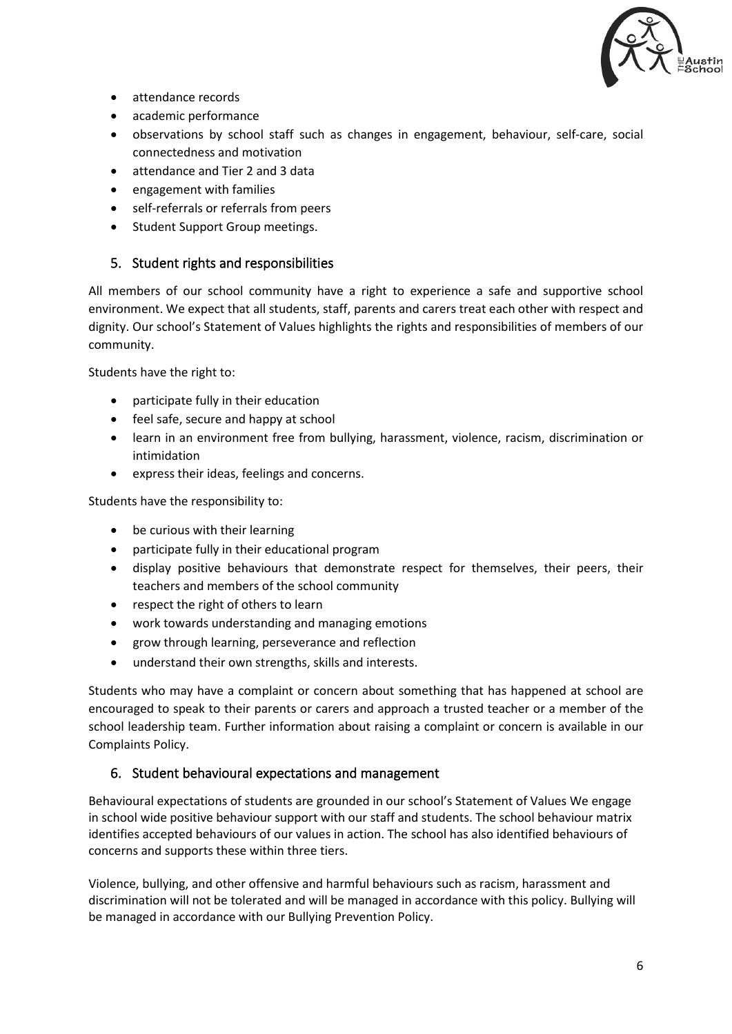

- attendance records
- academic performance
- observations by school staff such as changes in engagement, behaviour, self-care, social connectedness and motivation
- attendance and Tier 2 and 3 data
- engagement with families
- self-referrals or referrals from peers
- Student Support Group meetings.

### 5. Student rights and responsibilities

All members of our school community have a right to experience a safe and supportive school environment. We expect that all students, staff, parents and carers treat each other with respect and dignity. Our school's Statement of Values highlights the rights and responsibilities of members of our community.

Students have the right to:

- participate fully in their education
- feel safe, secure and happy at school
- learn in an environment free from bullying, harassment, violence, racism, discrimination or intimidation
- express their ideas, feelings and concerns.

Students have the responsibility to:

- be curious with their learning
- participate fully in their educational program
- display positive behaviours that demonstrate respect for themselves, their peers, their teachers and members of the school community
- respect the right of others to learn
- work towards understanding and managing emotions
- grow through learning, perseverance and reflection
- understand their own strengths, skills and interests.

Students who may have a complaint or concern about something that has happened at school are encouraged to speak to their parents or carers and approach a trusted teacher or a member of the school leadership team. Further information about raising a complaint or concern is available in our Complaints Policy.

#### 6. Student behavioural expectations and management

Behavioural expectations of students are grounded in our school's Statement of Values We engage in school wide positive behaviour support with our staff and students. The school behaviour matrix identifies accepted behaviours of our values in action. The school has also identified behaviours of concerns and supports these within three tiers.

Violence, bullying, and other offensive and harmful behaviours such as racism, harassment and discrimination will not be tolerated and will be managed in accordance with this policy. Bullying will be managed in accordance with our Bullying Prevention Policy.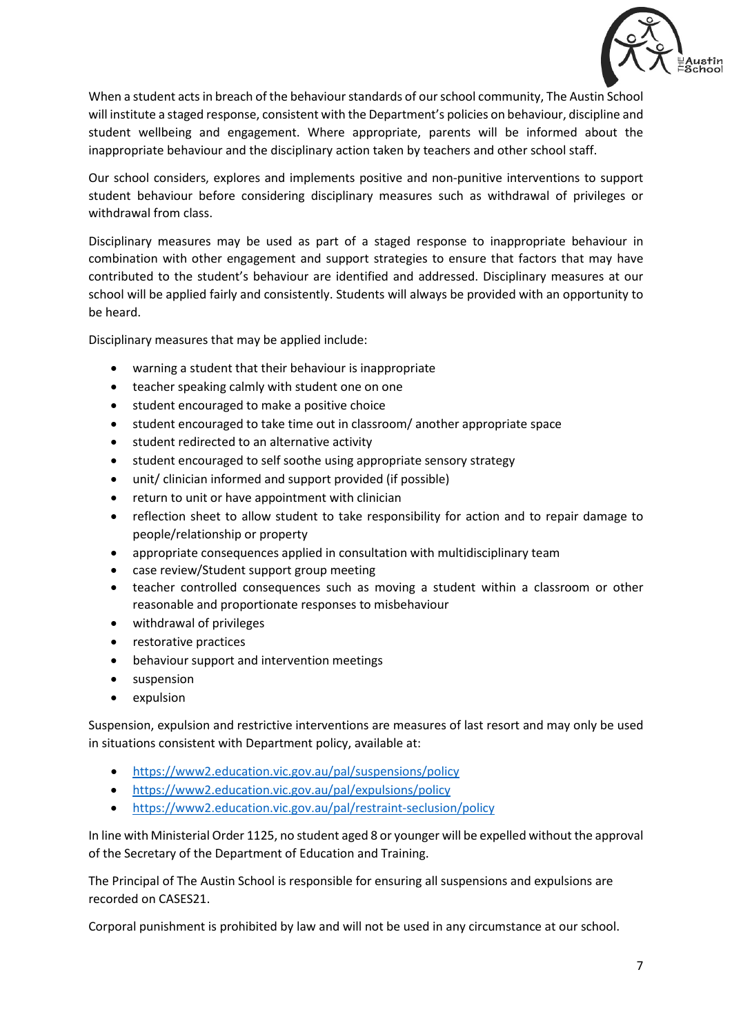

When a student acts in breach of the behaviour standards of our school community, The Austin School will institute a staged response, consistent with the Department's policies on behaviour, discipline and student wellbeing and engagement. Where appropriate, parents will be informed about the inappropriate behaviour and the disciplinary action taken by teachers and other school staff.

Our school considers, explores and implements positive and non-punitive interventions to support student behaviour before considering disciplinary measures such as withdrawal of privileges or withdrawal from class.

Disciplinary measures may be used as part of a staged response to inappropriate behaviour in combination with other engagement and support strategies to ensure that factors that may have contributed to the student's behaviour are identified and addressed. Disciplinary measures at our school will be applied fairly and consistently. Students will always be provided with an opportunity to be heard.

Disciplinary measures that may be applied include:

- warning a student that their behaviour is inappropriate
- teacher speaking calmly with student one on one
- student encouraged to make a positive choice
- student encouraged to take time out in classroom/ another appropriate space
- student redirected to an alternative activity
- student encouraged to self soothe using appropriate sensory strategy
- unit/ clinician informed and support provided (if possible)
- return to unit or have appointment with clinician
- reflection sheet to allow student to take responsibility for action and to repair damage to people/relationship or property
- appropriate consequences applied in consultation with multidisciplinary team
- case review/Student support group meeting
- teacher controlled consequences such as moving a student within a classroom or other reasonable and proportionate responses to misbehaviour
- withdrawal of privileges
- restorative practices
- behaviour support and intervention meetings
- suspension
- expulsion

Suspension, expulsion and restrictive interventions are measures of last resort and may only be used in situations consistent with Department policy, available at:

- <https://www2.education.vic.gov.au/pal/suspensions/policy>
- <https://www2.education.vic.gov.au/pal/expulsions/policy>
- <https://www2.education.vic.gov.au/pal/restraint-seclusion/policy>

In line with Ministerial Order 1125, no student aged 8 or younger will be expelled without the approval of the Secretary of the Department of Education and Training.

The Principal of The Austin School is responsible for ensuring all suspensions and expulsions are recorded on CASES21.

Corporal punishment is prohibited by law and will not be used in any circumstance at our school.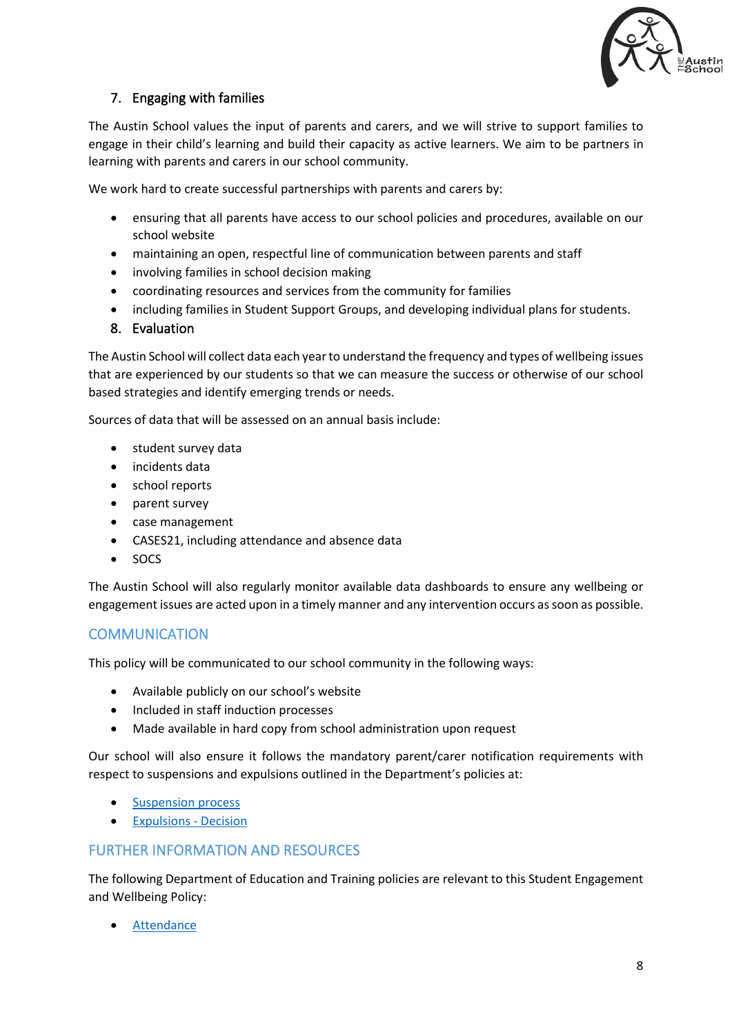

# 7. Engaging with families

The Austin School values the input of parents and carers, and we will strive to support families to engage in their child's learning and build their capacity as active learners. We aim to be partners in learning with parents and carers in our school community.

We work hard to create successful partnerships with parents and carers by:

- ensuring that all parents have access to our school policies and procedures, available on our school website
- maintaining an open, respectful line of communication between parents and staff
- involving families in school decision making
- coordinating resources and services from the community for families
- including families in Student Support Groups, and developing individual plans for students.

### 8. Evaluation

The Austin School will collect data each year to understand the frequency and types of wellbeing issues that are experienced by our students so that we can measure the success or otherwise of our school based strategies and identify emerging trends or needs.

Sources of data that will be assessed on an annual basis include:

- student survey data
- incidents data
- school reports
- parent survey
- case management
- CASES21, including attendance and absence data
- SOCS

The Austin School will also regularly monitor available data dashboards to ensure any wellbeing or engagement issues are acted upon in a timely manner and any intervention occurs as soon as possible.

# **COMMUNICATION**

This policy will be communicated to our school community in the following ways:

- Available publicly on our school's website
- Included in staff induction processes
- Made available in hard copy from school administration upon request

Our school will also ensure it follows the mandatory parent/carer notification requirements with respect to suspensions and expulsions outlined in the Department's policies at:

- [Suspension process](https://www2.education.vic.gov.au/pal/suspensions/guidance/1-suspension-process)
- [Expulsions Decision](https://www2.education.vic.gov.au/pal/expulsions/guidance/decision)

## FURTHER INFORMATION AND RESOURCES

The following Department of Education and Training policies are relevant to this Student Engagement and Wellbeing Policy:

• [Attendance](https://www2.education.vic.gov.au/pal/attendance/policy)